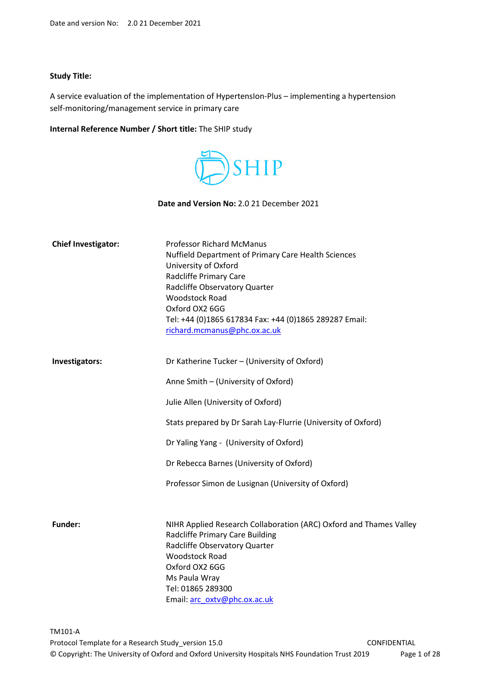#### **Study Title:**

A service evaluation of the implementation of HypertensIon-Plus – implementing a hypertension self-monitoring/management service in primary care

#### **Internal Reference Number / Short title:** The SHIP study



**Date and Version No:** 2.0 21 December 2021

| <b>Chief Investigator:</b> | <b>Professor Richard McManus</b><br>Nuffield Department of Primary Care Health Sciences<br>University of Oxford<br>Radcliffe Primary Care<br>Radcliffe Observatory Quarter                                                                              |
|----------------------------|---------------------------------------------------------------------------------------------------------------------------------------------------------------------------------------------------------------------------------------------------------|
|                            | <b>Woodstock Road</b><br>Oxford OX2 6GG<br>Tel: +44 (0)1865 617834 Fax: +44 (0)1865 289287 Email:<br>richard.mcmanus@phc.ox.ac.uk                                                                                                                       |
| Investigators:             | Dr Katherine Tucker - (University of Oxford)                                                                                                                                                                                                            |
|                            | Anne Smith - (University of Oxford)                                                                                                                                                                                                                     |
|                            | Julie Allen (University of Oxford)                                                                                                                                                                                                                      |
|                            | Stats prepared by Dr Sarah Lay-Flurrie (University of Oxford)                                                                                                                                                                                           |
|                            | Dr Yaling Yang - (University of Oxford)                                                                                                                                                                                                                 |
|                            | Dr Rebecca Barnes (University of Oxford)                                                                                                                                                                                                                |
|                            | Professor Simon de Lusignan (University of Oxford)                                                                                                                                                                                                      |
|                            |                                                                                                                                                                                                                                                         |
| <b>Funder:</b>             | NIHR Applied Research Collaboration (ARC) Oxford and Thames Valley<br>Radcliffe Primary Care Building<br>Radcliffe Observatory Quarter<br><b>Woodstock Road</b><br>Oxford OX2 6GG<br>Ms Paula Wray<br>Tel: 01865 289300<br>Email: arc_oxtv@phc.ox.ac.uk |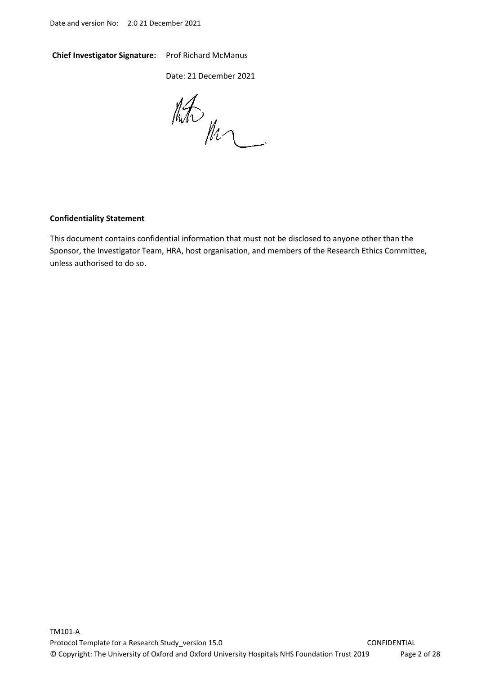#### **Chief Investigator Signature:** Prof Richard McManus

Date: 21 December 2021

 $\frac{1}{2} \frac{1}{2} \frac{1}{2} \frac{1}{2} \frac{1}{2} \frac{1}{2} \frac{1}{2} \frac{1}{2} \frac{1}{2} \frac{1}{2} \frac{1}{2} \frac{1}{2} \frac{1}{2} \frac{1}{2} \frac{1}{2} \frac{1}{2} \frac{1}{2} \frac{1}{2} \frac{1}{2} \frac{1}{2} \frac{1}{2} \frac{1}{2} \frac{1}{2} \frac{1}{2} \frac{1}{2} \frac{1}{2} \frac{1}{2} \frac{1}{2} \frac{1}{2} \frac{1}{2} \frac{1}{2} \frac{$ 

#### **Confidentiality Statement**

This document contains confidential information that must not be disclosed to anyone other than the Sponsor, the Investigator Team, HRA, host organisation, and members of the Research Ethics Committee, unless authorised to do so.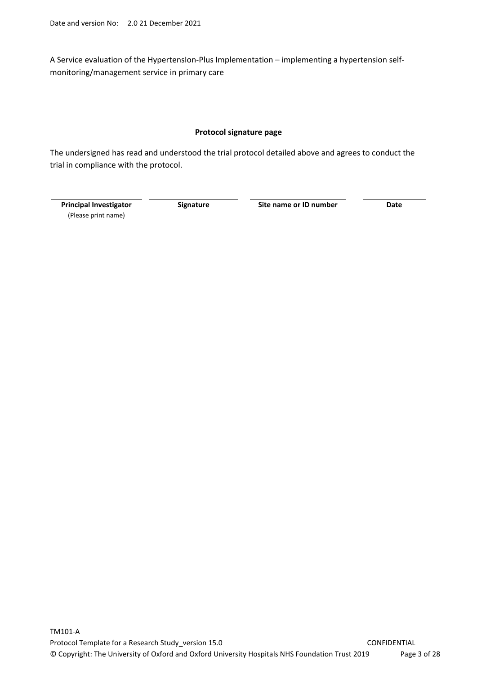A Service evaluation of the HypertensIon-Plus Implementation – implementing a hypertension selfmonitoring/management service in primary care

#### **Protocol signature page**

The undersigned has read and understood the trial protocol detailed above and agrees to conduct the trial in compliance with the protocol.

**Principal Investigator**  (Please print name)

**Signature Site name or ID number Date**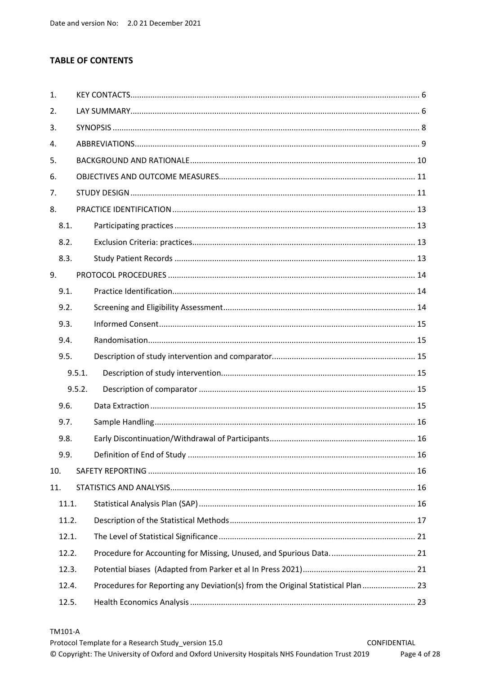# **TABLE OF CONTENTS**

| 1.  |        |                                                                                  |  |  |  |
|-----|--------|----------------------------------------------------------------------------------|--|--|--|
| 2.  |        |                                                                                  |  |  |  |
| 3.  |        |                                                                                  |  |  |  |
| 4.  |        |                                                                                  |  |  |  |
| 5.  |        |                                                                                  |  |  |  |
| 6.  |        |                                                                                  |  |  |  |
| 7.  |        |                                                                                  |  |  |  |
| 8.  |        |                                                                                  |  |  |  |
|     | 8.1.   |                                                                                  |  |  |  |
|     | 8.2.   |                                                                                  |  |  |  |
|     | 8.3.   |                                                                                  |  |  |  |
| 9.  |        |                                                                                  |  |  |  |
|     | 9.1.   |                                                                                  |  |  |  |
|     | 9.2.   |                                                                                  |  |  |  |
|     | 9.3.   |                                                                                  |  |  |  |
|     | 9.4.   |                                                                                  |  |  |  |
|     | 9.5.   |                                                                                  |  |  |  |
|     | 9.5.1. |                                                                                  |  |  |  |
|     | 9.5.2. |                                                                                  |  |  |  |
|     | 9.6.   |                                                                                  |  |  |  |
|     | 9.7.   |                                                                                  |  |  |  |
|     | 9.8.   |                                                                                  |  |  |  |
|     | 9.9.   |                                                                                  |  |  |  |
| 10. |        |                                                                                  |  |  |  |
| 11. |        |                                                                                  |  |  |  |
|     | 11.1.  |                                                                                  |  |  |  |
|     | 11.2.  |                                                                                  |  |  |  |
|     | 12.1.  |                                                                                  |  |  |  |
|     | 12.2.  |                                                                                  |  |  |  |
|     | 12.3.  |                                                                                  |  |  |  |
|     | 12.4.  | Procedures for Reporting any Deviation(s) from the Original Statistical Plan  23 |  |  |  |
|     | 12.5.  |                                                                                  |  |  |  |

#### TM101-A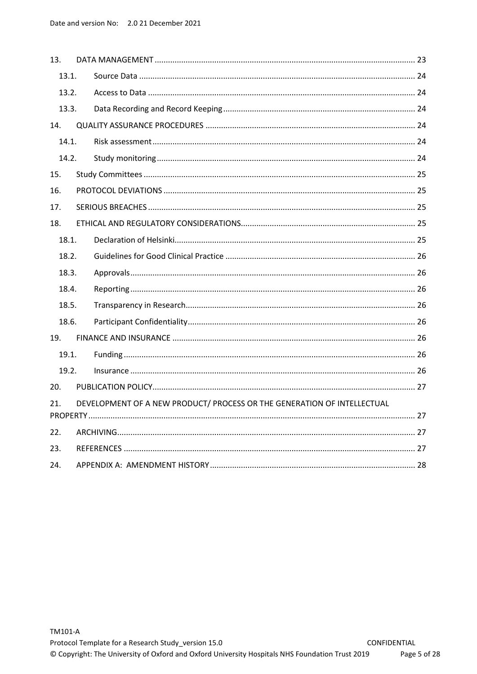| 13. |       |                                                                         |  |
|-----|-------|-------------------------------------------------------------------------|--|
|     | 13.1. |                                                                         |  |
|     | 13.2. |                                                                         |  |
|     | 13.3. |                                                                         |  |
| 14. |       |                                                                         |  |
|     | 14.1. |                                                                         |  |
|     | 14.2. |                                                                         |  |
| 15. |       |                                                                         |  |
| 16. |       |                                                                         |  |
| 17. |       |                                                                         |  |
| 18. |       |                                                                         |  |
|     | 18.1. |                                                                         |  |
|     | 18.2. |                                                                         |  |
|     | 18.3. |                                                                         |  |
|     | 18.4. |                                                                         |  |
|     | 18.5. |                                                                         |  |
|     | 18.6. |                                                                         |  |
| 19. |       |                                                                         |  |
|     | 19.1. |                                                                         |  |
|     | 19.2. |                                                                         |  |
| 20. |       |                                                                         |  |
| 21. |       | DEVELOPMENT OF A NEW PRODUCT/ PROCESS OR THE GENERATION OF INTELLECTUAL |  |
|     |       |                                                                         |  |
| 22. |       |                                                                         |  |
| 23. |       |                                                                         |  |
| 24. |       |                                                                         |  |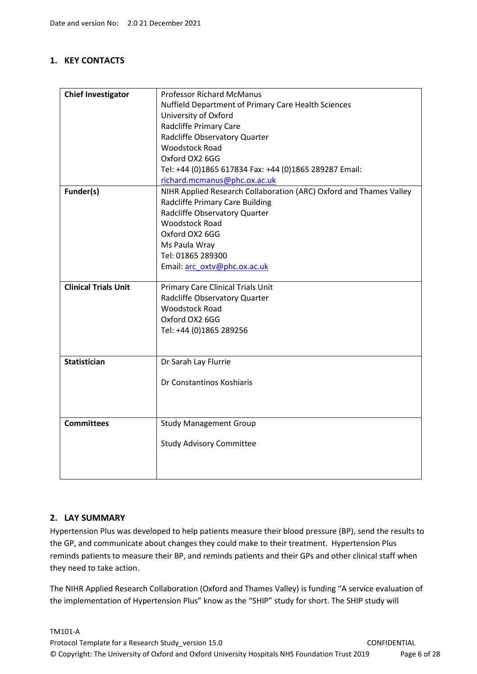# **1. KEY CONTACTS**

| <b>Chief Investigator</b>   | <b>Professor Richard McManus</b>                                   |
|-----------------------------|--------------------------------------------------------------------|
|                             | <b>Nuffield Department of Primary Care Health Sciences</b>         |
|                             | University of Oxford                                               |
|                             | Radcliffe Primary Care                                             |
|                             | Radcliffe Observatory Quarter                                      |
|                             | <b>Woodstock Road</b>                                              |
|                             | Oxford OX2 6GG                                                     |
|                             | Tel: +44 (0)1865 617834 Fax: +44 (0)1865 289287 Email:             |
|                             | richard.mcmanus@phc.ox.ac.uk                                       |
| Funder(s)                   | NIHR Applied Research Collaboration (ARC) Oxford and Thames Valley |
|                             | Radcliffe Primary Care Building                                    |
|                             | Radcliffe Observatory Quarter                                      |
|                             | <b>Woodstock Road</b>                                              |
|                             | Oxford OX2 6GG                                                     |
|                             | Ms Paula Wray                                                      |
|                             | Tel: 01865 289300                                                  |
|                             | Email: arc_oxtv@phc.ox.ac.uk                                       |
|                             |                                                                    |
| <b>Clinical Trials Unit</b> | Primary Care Clinical Trials Unit                                  |
|                             | Radcliffe Observatory Quarter                                      |
|                             | <b>Woodstock Road</b>                                              |
|                             | Oxford OX2 6GG                                                     |
|                             | Tel: +44 (0)1865 289256                                            |
|                             |                                                                    |
| <b>Statistician</b>         | Dr Sarah Lay Flurrie                                               |
|                             |                                                                    |
|                             | Dr Constantinos Koshiaris                                          |
|                             |                                                                    |
|                             |                                                                    |
|                             |                                                                    |
| <b>Committees</b>           | <b>Study Management Group</b>                                      |
|                             |                                                                    |
|                             | <b>Study Advisory Committee</b>                                    |
|                             |                                                                    |
|                             |                                                                    |
|                             |                                                                    |

### **2. LAY SUMMARY**

Hypertension Plus was developed to help patients measure their blood pressure (BP), send the results to the GP, and communicate about changes they could make to their treatment. Hypertension Plus reminds patients to measure their BP, and reminds patients and their GPs and other clinical staff when they need to take action.

The NIHR Applied Research Collaboration (Oxford and Thames Valley) is funding "A service evaluation of the implementation of Hypertension Plus" know as the "SHIP" study for short. The SHIP study will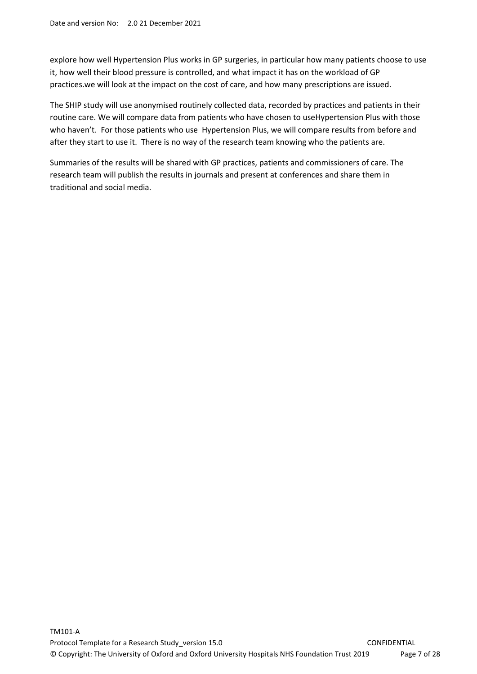explore how well Hypertension Plus works in GP surgeries, in particular how many patients choose to use it, how well their blood pressure is controlled, and what impact it has on the workload of GP practices.we will look at the impact on the cost of care, and how many prescriptions are issued.

The SHIP study will use anonymised routinely collected data, recorded by practices and patients in their routine care. We will compare data from patients who have chosen to useHypertension Plus with those who haven't. For those patients who use Hypertension Plus, we will compare results from before and after they start to use it. There is no way of the research team knowing who the patients are.

Summaries of the results will be shared with GP practices, patients and commissioners of care. The research team will publish the results in journals and present at conferences and share them in traditional and social media.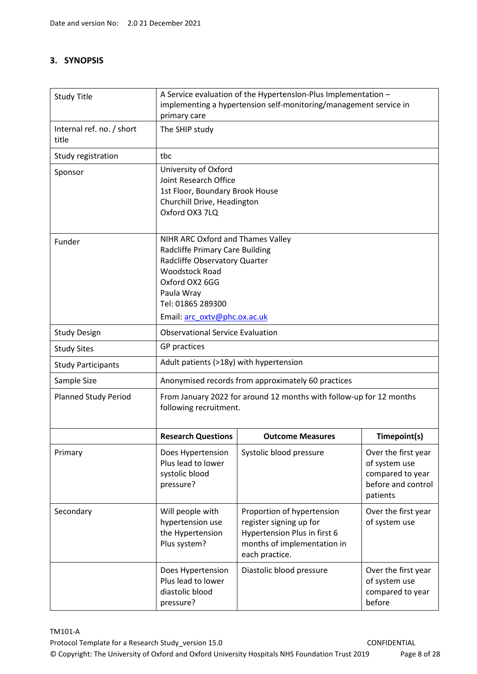# **3. SYNOPSIS**

| <b>Study Title</b>                 | A Service evaluation of the Hypertension-Plus Implementation -<br>implementing a hypertension self-monitoring/management service in<br>primary care                                                                 |                                                                                                                                        |                                                                                            |  |
|------------------------------------|---------------------------------------------------------------------------------------------------------------------------------------------------------------------------------------------------------------------|----------------------------------------------------------------------------------------------------------------------------------------|--------------------------------------------------------------------------------------------|--|
| Internal ref. no. / short<br>title | The SHIP study                                                                                                                                                                                                      |                                                                                                                                        |                                                                                            |  |
| Study registration                 | tbc                                                                                                                                                                                                                 |                                                                                                                                        |                                                                                            |  |
| Sponsor                            | University of Oxford<br>Joint Research Office<br>1st Floor, Boundary Brook House<br>Churchill Drive, Headington<br>Oxford OX3 7LQ                                                                                   |                                                                                                                                        |                                                                                            |  |
| Funder                             | NIHR ARC Oxford and Thames Valley<br>Radcliffe Primary Care Building<br>Radcliffe Observatory Quarter<br><b>Woodstock Road</b><br>Oxford OX2 6GG<br>Paula Wray<br>Tel: 01865 289300<br>Email: arc oxtv@phc.ox.ac.uk |                                                                                                                                        |                                                                                            |  |
| <b>Study Design</b>                | <b>Observational Service Evaluation</b>                                                                                                                                                                             |                                                                                                                                        |                                                                                            |  |
| <b>Study Sites</b>                 | GP practices                                                                                                                                                                                                        |                                                                                                                                        |                                                                                            |  |
| <b>Study Participants</b>          | Adult patients (>18y) with hypertension                                                                                                                                                                             |                                                                                                                                        |                                                                                            |  |
| Sample Size                        |                                                                                                                                                                                                                     | Anonymised records from approximately 60 practices                                                                                     |                                                                                            |  |
| <b>Planned Study Period</b>        | following recruitment.                                                                                                                                                                                              | From January 2022 for around 12 months with follow-up for 12 months                                                                    |                                                                                            |  |
|                                    | <b>Research Questions</b>                                                                                                                                                                                           | <b>Outcome Measures</b>                                                                                                                | Timepoint(s)                                                                               |  |
| Primary                            | Does Hypertension<br>Plus lead to lower<br>systolic blood<br>pressure?                                                                                                                                              | Systolic blood pressure                                                                                                                | Over the first year<br>of system use<br>compared to year<br>before and control<br>patients |  |
| Secondary                          | Will people with<br>hypertension use<br>the Hypertension<br>Plus system?                                                                                                                                            | Proportion of hypertension<br>register signing up for<br>Hypertension Plus in first 6<br>months of implementation in<br>each practice. | Over the first year<br>of system use                                                       |  |
|                                    | Does Hypertension<br>Plus lead to lower<br>diastolic blood<br>pressure?                                                                                                                                             | Diastolic blood pressure                                                                                                               | Over the first year<br>of system use<br>compared to year<br>before                         |  |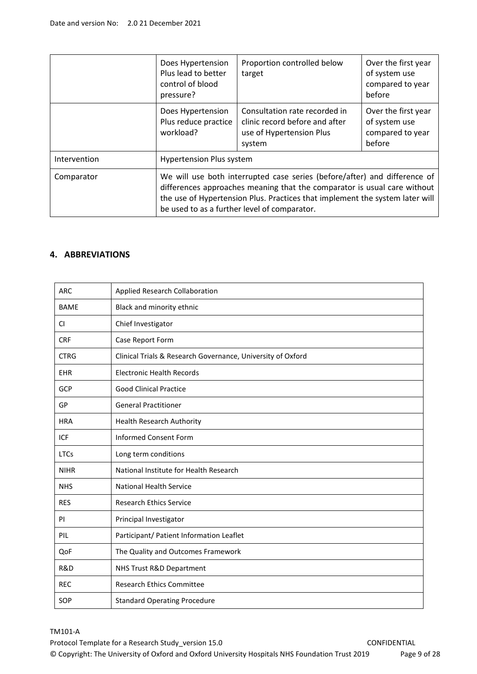|              | Does Hypertension<br>Plus lead to better<br>control of blood<br>pressure?                                                                                                                                                                                                             | Proportion controlled below<br>target                                                                 | Over the first year<br>of system use<br>compared to year<br>before |
|--------------|---------------------------------------------------------------------------------------------------------------------------------------------------------------------------------------------------------------------------------------------------------------------------------------|-------------------------------------------------------------------------------------------------------|--------------------------------------------------------------------|
|              | Does Hypertension<br>Plus reduce practice<br>workload?                                                                                                                                                                                                                                | Consultation rate recorded in<br>clinic record before and after<br>use of Hypertension Plus<br>system | Over the first year<br>of system use<br>compared to year<br>before |
| Intervention | <b>Hypertension Plus system</b>                                                                                                                                                                                                                                                       |                                                                                                       |                                                                    |
| Comparator   | We will use both interrupted case series (before/after) and difference of<br>differences approaches meaning that the comparator is usual care without<br>the use of Hypertension Plus. Practices that implement the system later will<br>be used to as a further level of comparator. |                                                                                                       |                                                                    |

### **4. ABBREVIATIONS**

| <b>ARC</b>  | Applied Research Collaboration                              |
|-------------|-------------------------------------------------------------|
| <b>BAME</b> | Black and minority ethnic                                   |
| <b>CI</b>   | Chief Investigator                                          |
| <b>CRF</b>  | Case Report Form                                            |
| <b>CTRG</b> | Clinical Trials & Research Governance, University of Oxford |
| <b>EHR</b>  | <b>Electronic Health Records</b>                            |
| GCP         | <b>Good Clinical Practice</b>                               |
| GP          | <b>General Practitioner</b>                                 |
| <b>HRA</b>  | <b>Health Research Authority</b>                            |
| <b>ICF</b>  | <b>Informed Consent Form</b>                                |
| <b>LTCs</b> | Long term conditions                                        |
| <b>NIHR</b> | National Institute for Health Research                      |
| <b>NHS</b>  | <b>National Health Service</b>                              |
| <b>RES</b>  | <b>Research Ethics Service</b>                              |
| PI          | Principal Investigator                                      |
| PIL         | Participant/ Patient Information Leaflet                    |
| QoF         | The Quality and Outcomes Framework                          |
| R&D         | NHS Trust R&D Department                                    |
| <b>REC</b>  | <b>Research Ethics Committee</b>                            |
| SOP         | <b>Standard Operating Procedure</b>                         |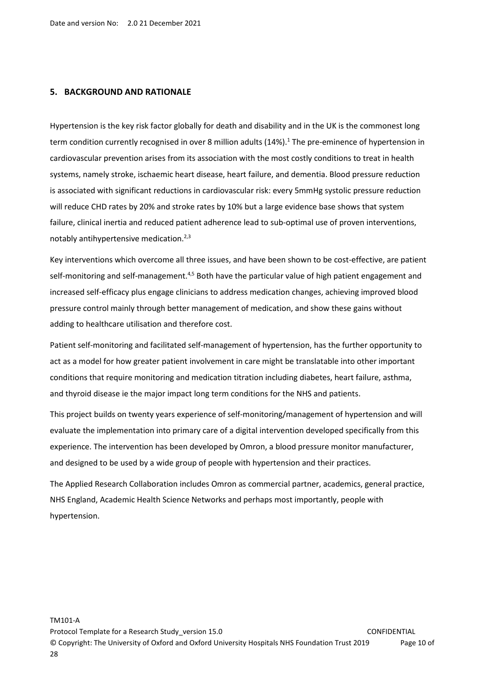#### **5. BACKGROUND AND RATIONALE**

Hypertension is the key risk factor globally for death and disability and in the UK is the commonest long term condition currently recognised in over 8 million adults (14%).<sup>1</sup> The pre-eminence of hypertension in cardiovascular prevention arises from its association with the most costly conditions to treat in health systems, namely stroke, ischaemic heart disease, heart failure, and dementia. Blood pressure reduction is associated with significant reductions in cardiovascular risk: every 5mmHg systolic pressure reduction will reduce CHD rates by 20% and stroke rates by 10% but a large evidence base shows that system failure, clinical inertia and reduced patient adherence lead to sub-optimal use of proven interventions, notably antihypertensive medication.2,3

Key interventions which overcome all three issues, and have been shown to be cost-effective, are patient self-monitoring and self-management.<sup>4,5</sup> Both have the particular value of high patient engagement and increased self-efficacy plus engage clinicians to address medication changes, achieving improved blood pressure control mainly through better management of medication, and show these gains without adding to healthcare utilisation and therefore cost.

Patient self-monitoring and facilitated self-management of hypertension, has the further opportunity to act as a model for how greater patient involvement in care might be translatable into other important conditions that require monitoring and medication titration including diabetes, heart failure, asthma, and thyroid disease ie the major impact long term conditions for the NHS and patients.

This project builds on twenty years experience of self-monitoring/management of hypertension and will evaluate the implementation into primary care of a digital intervention developed specifically from this experience. The intervention has been developed by Omron, a blood pressure monitor manufacturer, and designed to be used by a wide group of people with hypertension and their practices.

The Applied Research Collaboration includes Omron as commercial partner, academics, general practice, NHS England, Academic Health Science Networks and perhaps most importantly, people with hypertension.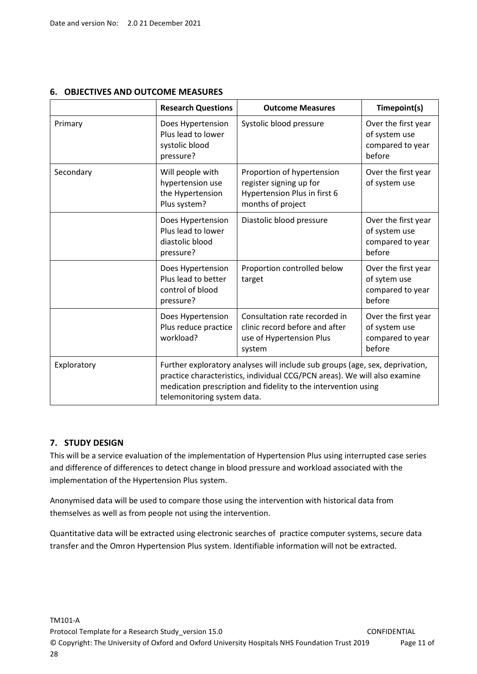|             | <b>Research Questions</b>                                                                                                                                                                                                                                  | <b>Outcome Measures</b>                                                                               | Timepoint(s)                                                       |
|-------------|------------------------------------------------------------------------------------------------------------------------------------------------------------------------------------------------------------------------------------------------------------|-------------------------------------------------------------------------------------------------------|--------------------------------------------------------------------|
| Primary     | Does Hypertension<br>Plus lead to lower<br>systolic blood<br>pressure?                                                                                                                                                                                     | Systolic blood pressure                                                                               | Over the first year<br>of system use<br>compared to year<br>before |
| Secondary   | Will people with<br>Proportion of hypertension<br>hypertension use<br>register signing up for<br>the Hypertension<br>Hypertension Plus in first 6<br>months of project<br>Plus system?                                                                     |                                                                                                       | Over the first year<br>of system use                               |
|             | Does Hypertension<br>Plus lead to lower<br>diastolic blood<br>pressure?                                                                                                                                                                                    | Diastolic blood pressure                                                                              | Over the first year<br>of system use<br>compared to year<br>before |
|             | Does Hypertension<br>Plus lead to better<br>control of blood<br>pressure?                                                                                                                                                                                  | Proportion controlled below<br>target                                                                 | Over the first year<br>of sytem use<br>compared to year<br>before  |
|             | Does Hypertension<br>Plus reduce practice<br>workload?                                                                                                                                                                                                     | Consultation rate recorded in<br>clinic record before and after<br>use of Hypertension Plus<br>system | Over the first year<br>of system use<br>compared to year<br>before |
| Exploratory | Further exploratory analyses will include sub groups (age, sex, deprivation,<br>practice characteristics, individual CCG/PCN areas). We will also examine<br>medication prescription and fidelity to the intervention using<br>telemonitoring system data. |                                                                                                       |                                                                    |

# **6. OBJECTIVES AND OUTCOME MEASURES**

# **7. STUDY DESIGN**

This will be a service evaluation of the implementation of Hypertension Plus using interrupted case series and difference of differences to detect change in blood pressure and workload associated with the implementation of the Hypertension Plus system.

Anonymised data will be used to compare those using the intervention with historical data from themselves as well as from people not using the intervention.

Quantitative data will be extracted using electronic searches of practice computer systems, secure data transfer and the Omron Hypertension Plus system. Identifiable information will not be extracted.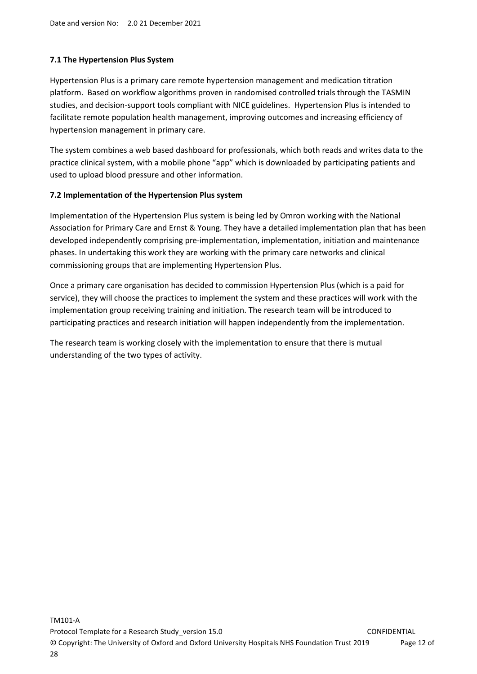## **7.1 The Hypertension Plus System**

Hypertension Plus is a primary care remote hypertension management and medication titration platform. Based on workflow algorithms proven in randomised controlled trials through the TASMIN studies, and decision-support tools compliant with NICE guidelines. Hypertension Plus is intended to facilitate remote population health management, improving outcomes and increasing efficiency of hypertension management in primary care.

The system combines a web based dashboard for professionals, which both reads and writes data to the practice clinical system, with a mobile phone "app" which is downloaded by participating patients and used to upload blood pressure and other information.

### **7.2 Implementation of the Hypertension Plus system**

Implementation of the Hypertension Plus system is being led by Omron working with the National Association for Primary Care and Ernst & Young. They have a detailed implementation plan that has been developed independently comprising pre-implementation, implementation, initiation and maintenance phases. In undertaking this work they are working with the primary care networks and clinical commissioning groups that are implementing Hypertension Plus.

Once a primary care organisation has decided to commission Hypertension Plus (which is a paid for service), they will choose the practices to implement the system and these practices will work with the implementation group receiving training and initiation. The research team will be introduced to participating practices and research initiation will happen independently from the implementation.

The research team is working closely with the implementation to ensure that there is mutual understanding of the two types of activity.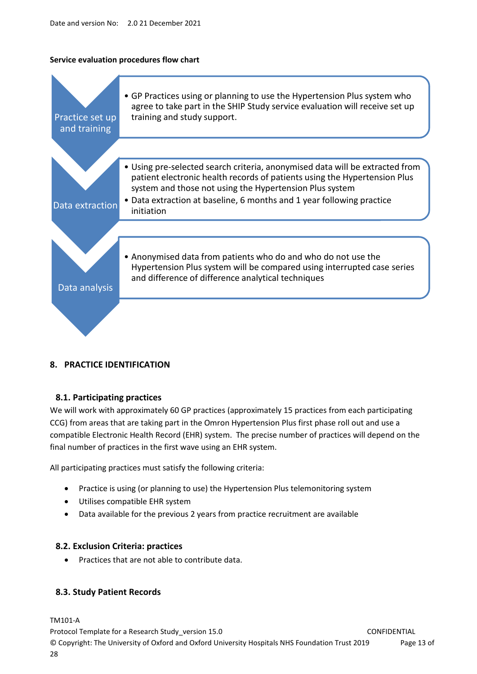#### **Service evaluation procedures flow chart**



### **8. PRACTICE IDENTIFICATION**

### **8.1. Participating practices**

We will work with approximately 60 GP practices (approximately 15 practices from each participating CCG) from areas that are taking part in the Omron Hypertension Plus first phase roll out and use a compatible Electronic Health Record (EHR) system. The precise number of practices will depend on the final number of practices in the first wave using an EHR system.

All participating practices must satisfy the following criteria:

- Practice is using (or planning to use) the Hypertension Plus telemonitoring system
- Utilises compatible EHR system
- Data available for the previous 2 years from practice recruitment are available

### **8.2. Exclusion Criteria: practices**

Practices that are not able to contribute data.

### **8.3. Study Patient Records**

TM101-A Protocol Template for a Research Study version 15.0 CONFIDENTIAL © Copyright: The University of Oxford and Oxford University Hospitals NHS Foundation Trust 2019 Page 13 of 28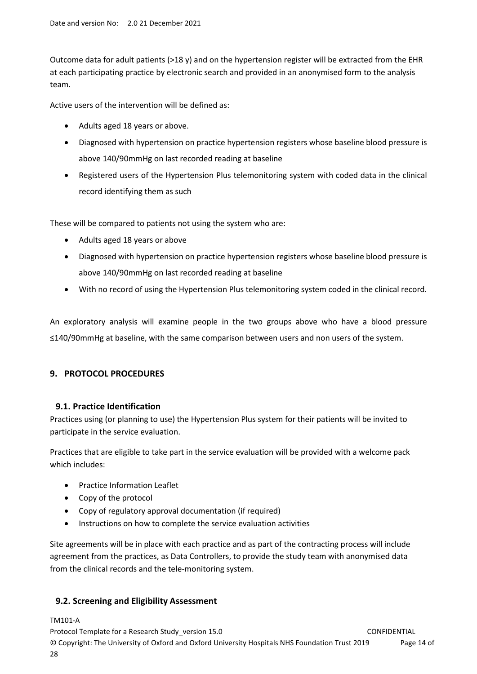Outcome data for adult patients (>18 y) and on the hypertension register will be extracted from the EHR at each participating practice by electronic search and provided in an anonymised form to the analysis team.

Active users of the intervention will be defined as:

- Adults aged 18 years or above.
- Diagnosed with hypertension on practice hypertension registers whose baseline blood pressure is above 140/90mmHg on last recorded reading at baseline
- Registered users of the Hypertension Plus telemonitoring system with coded data in the clinical record identifying them as such

These will be compared to patients not using the system who are:

- Adults aged 18 years or above
- Diagnosed with hypertension on practice hypertension registers whose baseline blood pressure is above 140/90mmHg on last recorded reading at baseline
- With no record of using the Hypertension Plus telemonitoring system coded in the clinical record.

An exploratory analysis will examine people in the two groups above who have a blood pressure ≤140/90mmHg at baseline, with the same comparison between users and non users of the system.

# **9. PROTOCOL PROCEDURES**

### **9.1. Practice Identification**

Practices using (or planning to use) the Hypertension Plus system for their patients will be invited to participate in the service evaluation.

Practices that are eligible to take part in the service evaluation will be provided with a welcome pack which includes:

- Practice Information Leaflet
- Copy of the protocol
- Copy of regulatory approval documentation (if required)
- Instructions on how to complete the service evaluation activities

Site agreements will be in place with each practice and as part of the contracting process will include agreement from the practices, as Data Controllers, to provide the study team with anonymised data from the clinical records and the tele-monitoring system.

# **9.2. Screening and Eligibility Assessment**

TM101-A

Protocol Template for a Research Study version 15.0 CONFIDENTIAL © Copyright: The University of Oxford and Oxford University Hospitals NHS Foundation Trust 2019 Page 14 of 28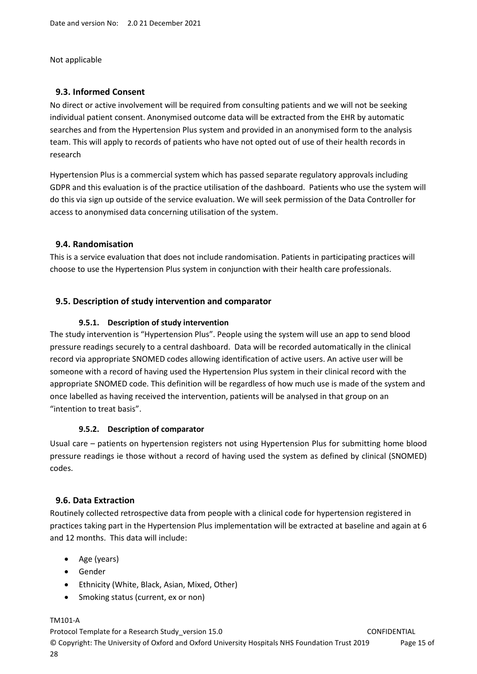Not applicable

## **9.3. Informed Consent**

No direct or active involvement will be required from consulting patients and we will not be seeking individual patient consent. Anonymised outcome data will be extracted from the EHR by automatic searches and from the Hypertension Plus system and provided in an anonymised form to the analysis team. This will apply to records of patients who have not opted out of use of their health records in research

Hypertension Plus is a commercial system which has passed separate regulatory approvals including GDPR and this evaluation is of the practice utilisation of the dashboard. Patients who use the system will do this via sign up outside of the service evaluation. We will seek permission of the Data Controller for access to anonymised data concerning utilisation of the system.

### **9.4. Randomisation**

This is a service evaluation that does not include randomisation. Patients in participating practices will choose to use the Hypertension Plus system in conjunction with their health care professionals.

## **9.5. Description of study intervention and comparator**

### **9.5.1. Description of study intervention**

The study intervention is "Hypertension Plus". People using the system will use an app to send blood pressure readings securely to a central dashboard. Data will be recorded automatically in the clinical record via appropriate SNOMED codes allowing identification of active users. An active user will be someone with a record of having used the Hypertension Plus system in their clinical record with the appropriate SNOMED code. This definition will be regardless of how much use is made of the system and once labelled as having received the intervention, patients will be analysed in that group on an "intention to treat basis".

### **9.5.2. Description of comparator**

Usual care – patients on hypertension registers not using Hypertension Plus for submitting home blood pressure readings ie those without a record of having used the system as defined by clinical (SNOMED) codes.

### **9.6. Data Extraction**

Routinely collected retrospective data from people with a clinical code for hypertension registered in practices taking part in the Hypertension Plus implementation will be extracted at baseline and again at 6 and 12 months. This data will include:

- Age (years)
- Gender
- Ethnicity (White, Black, Asian, Mixed, Other)
- Smoking status (current, ex or non)

### TM101-A

Protocol Template for a Research Study version 15.0 CONFIDENTIAL © Copyright: The University of Oxford and Oxford University Hospitals NHS Foundation Trust 2019 Page 15 of 28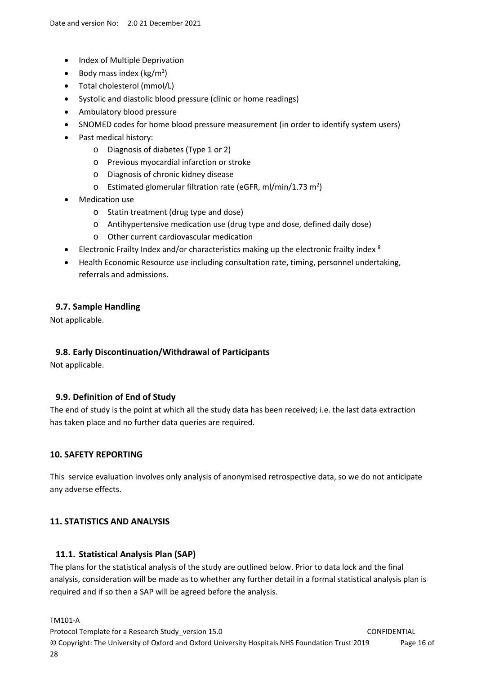- Index of Multiple Deprivation
- Body mass index ( $\text{kg/m}^2$ )
- Total cholesterol (mmol/L)
- Systolic and diastolic blood pressure (clinic or home readings)
- Ambulatory blood pressure
- SNOMED codes for home blood pressure measurement (in order to identify system users)
- Past medical history:
	- o Diagnosis of diabetes (Type 1 or 2)
	- o Previous myocardial infarction or stroke
	- o Diagnosis of chronic kidney disease
	- $\circ$  Estimated glomerular filtration rate (eGFR, ml/min/1.73 m<sup>2</sup>)
- Medication use
	- o Statin treatment (drug type and dose)
	- o Antihypertensive medication use (drug type and dose, defined daily dose)
	- o Other current cardiovascular medication
- Electronic Frailty Index and/or characteristics making up the electronic frailty index  $8$
- Health Economic Resource use including consultation rate, timing, personnel undertaking, referrals and admissions.

#### **9.7. Sample Handling**

Not applicable.

### **9.8. Early Discontinuation/Withdrawal of Participants**

Not applicable.

### **9.9. Definition of End of Study**

The end of study is the point at which all the study data has been received; i.e. the last data extraction has taken place and no further data queries are required.

#### **10. SAFETY REPORTING**

This service evaluation involves only analysis of anonymised retrospective data, so we do not anticipate any adverse effects.

### **11. STATISTICS AND ANALYSIS**

#### **11.1. Statistical Analysis Plan (SAP)**

The plans for the statistical analysis of the study are outlined below. Prior to data lock and the final analysis, consideration will be made as to whether any further detail in a formal statistical analysis plan is required and if so then a SAP will be agreed before the analysis.

TM101-A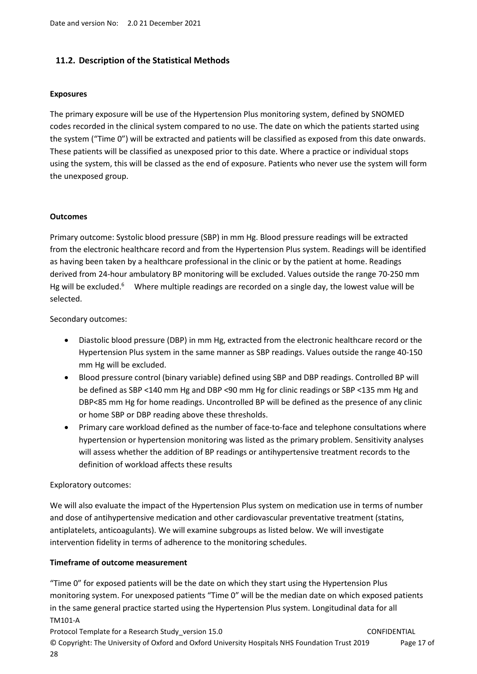### **11.2. Description of the Statistical Methods**

#### **Exposures**

The primary exposure will be use of the Hypertension Plus monitoring system, defined by SNOMED codes recorded in the clinical system compared to no use. The date on which the patients started using the system ("Time 0") will be extracted and patients will be classified as exposed from this date onwards. These patients will be classified as unexposed prior to this date. Where a practice or individual stops using the system, this will be classed as the end of exposure. Patients who never use the system will form the unexposed group.

#### **Outcomes**

Primary outcome: Systolic blood pressure (SBP) in mm Hg. Blood pressure readings will be extracted from the electronic healthcare record and from the Hypertension Plus system. Readings will be identified as having been taken by a healthcare professional in the clinic or by the patient at home. Readings derived from 24-hour ambulatory BP monitoring will be excluded. Values outside the range 70-250 mm Hg will be excluded.<sup>6</sup> Where multiple readings are recorded on a single day, the lowest value will be selected.

Secondary outcomes:

- Diastolic blood pressure (DBP) in mm Hg, extracted from the electronic healthcare record or the Hypertension Plus system in the same manner as SBP readings. Values outside the range 40-150 mm Hg will be excluded.
- Blood pressure control (binary variable) defined using SBP and DBP readings. Controlled BP will be defined as SBP <140 mm Hg and DBP <90 mm Hg for clinic readings or SBP <135 mm Hg and DBP<85 mm Hg for home readings. Uncontrolled BP will be defined as the presence of any clinic or home SBP or DBP reading above these thresholds.
- Primary care workload defined as the number of face-to-face and telephone consultations where hypertension or hypertension monitoring was listed as the primary problem. Sensitivity analyses will assess whether the addition of BP readings or antihypertensive treatment records to the definition of workload affects these results

#### Exploratory outcomes:

We will also evaluate the impact of the Hypertension Plus system on medication use in terms of number and dose of antihypertensive medication and other cardiovascular preventative treatment (statins, antiplatelets, anticoagulants). We will examine subgroups as listed below. We will investigate intervention fidelity in terms of adherence to the monitoring schedules.

#### **Timeframe of outcome measurement**

TM101-A "Time 0" for exposed patients will be the date on which they start using the Hypertension Plus monitoring system. For unexposed patients "Time 0" will be the median date on which exposed patients in the same general practice started using the Hypertension Plus system. Longitudinal data for all

Protocol Template for a Research Study version 15.0 CONFIDENTIAL © Copyright: The University of Oxford and Oxford University Hospitals NHS Foundation Trust 2019 Page 17 of 28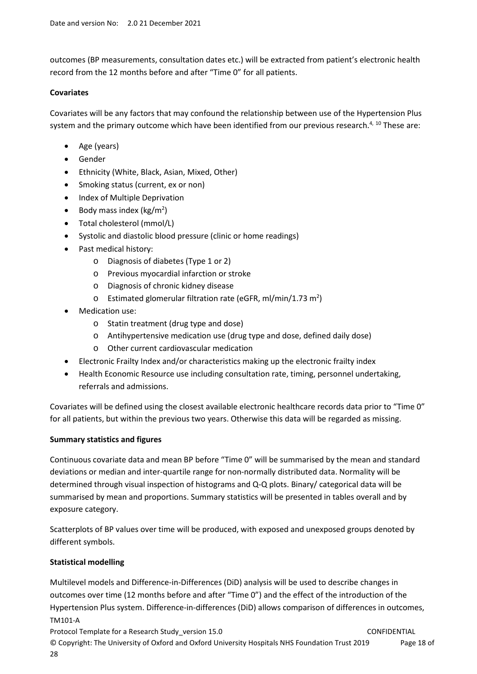outcomes (BP measurements, consultation dates etc.) will be extracted from patient's electronic health record from the 12 months before and after "Time 0" for all patients.

#### **Covariates**

Covariates will be any factors that may confound the relationship between use of the Hypertension Plus system and the primary outcome which have been identified from our previous research.<sup>4, 10</sup> These are:

- Age (years)
- Gender
- Ethnicity (White, Black, Asian, Mixed, Other)
- Smoking status (current, ex or non)
- Index of Multiple Deprivation
- Body mass index ( $\text{kg/m}^2$ )
- Total cholesterol (mmol/L)
- Systolic and diastolic blood pressure (clinic or home readings)
- Past medical history:
	- o Diagnosis of diabetes (Type 1 or 2)
	- o Previous myocardial infarction or stroke
	- o Diagnosis of chronic kidney disease
	- $\circ$  Estimated glomerular filtration rate (eGFR, ml/min/1.73 m<sup>2</sup>)
- Medication use:
	- o Statin treatment (drug type and dose)
	- o Antihypertensive medication use (drug type and dose, defined daily dose)
	- o Other current cardiovascular medication
- Electronic Frailty Index and/or characteristics making up the electronic frailty index
- Health Economic Resource use including consultation rate, timing, personnel undertaking, referrals and admissions.

Covariates will be defined using the closest available electronic healthcare records data prior to "Time 0" for all patients, but within the previous two years. Otherwise this data will be regarded as missing.

### **Summary statistics and figures**

Continuous covariate data and mean BP before "Time 0" will be summarised by the mean and standard deviations or median and inter-quartile range for non-normally distributed data. Normality will be determined through visual inspection of histograms and Q-Q plots. Binary/ categorical data will be summarised by mean and proportions. Summary statistics will be presented in tables overall and by exposure category.

Scatterplots of BP values over time will be produced, with exposed and unexposed groups denoted by different symbols.

### **Statistical modelling**

TM101-A Multilevel models and Difference-in-Differences (DiD) analysis will be used to describe changes in outcomes over time (12 months before and after "Time 0") and the effect of the introduction of the Hypertension Plus system. Difference-in-differences (DiD) allows comparison of differences in outcomes,

Protocol Template for a Research Study version 15.0 CONFIDENTIAL © Copyright: The University of Oxford and Oxford University Hospitals NHS Foundation Trust 2019 Page 18 of 28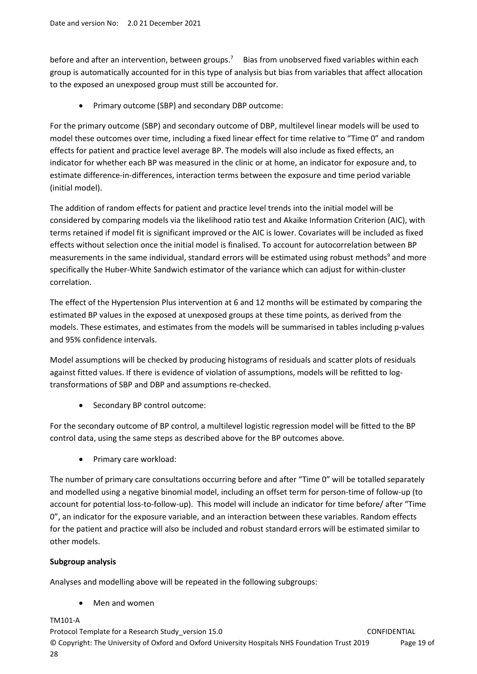before and after an intervention, between groups.<sup>7</sup> Bias from unobserved fixed variables within each group is automatically accounted for in this type of analysis but bias from variables that affect allocation to the exposed an unexposed group must still be accounted for.

Primary outcome (SBP) and secondary DBP outcome:

For the primary outcome (SBP) and secondary outcome of DBP, multilevel linear models will be used to model these outcomes over time, including a fixed linear effect for time relative to "Time 0" and random effects for patient and practice level average BP. The models will also include as fixed effects, an indicator for whether each BP was measured in the clinic or at home, an indicator for exposure and, to estimate difference-in-differences, interaction terms between the exposure and time period variable (initial model).

The addition of random effects for patient and practice level trends into the initial model will be considered by comparing models via the likelihood ratio test and Akaike Information Criterion (AIC), with terms retained if model fit is significant improved or the AIC is lower. Covariates will be included as fixed effects without selection once the initial model is finalised. To account for autocorrelation between BP measurements in the same individual, standard errors will be estimated using robust methods<sup>9</sup> and more specifically the Huber-White Sandwich estimator of the variance which can adjust for within-cluster correlation.

The effect of the Hypertension Plus intervention at 6 and 12 months will be estimated by comparing the estimated BP values in the exposed at unexposed groups at these time points, as derived from the models. These estimates, and estimates from the models will be summarised in tables including p-values and 95% confidence intervals.

Model assumptions will be checked by producing histograms of residuals and scatter plots of residuals against fitted values. If there is evidence of violation of assumptions, models will be refitted to logtransformations of SBP and DBP and assumptions re-checked.

• Secondary BP control outcome:

For the secondary outcome of BP control, a multilevel logistic regression model will be fitted to the BP control data, using the same steps as described above for the BP outcomes above.

• Primary care workload:

The number of primary care consultations occurring before and after "Time 0" will be totalled separately and modelled using a negative binomial model, including an offset term for person-time of follow-up (to account for potential loss-to-follow-up). This model will include an indicator for time before/ after "Time 0", an indicator for the exposure variable, and an interaction between these variables. Random effects for the patient and practice will also be included and robust standard errors will be estimated similar to other models.

# **Subgroup analysis**

Analyses and modelling above will be repeated in the following subgroups:

Men and women

TM101-A

Protocol Template for a Research Study version 15.0 CONFIDENTIAL © Copyright: The University of Oxford and Oxford University Hospitals NHS Foundation Trust 2019 Page 19 of 28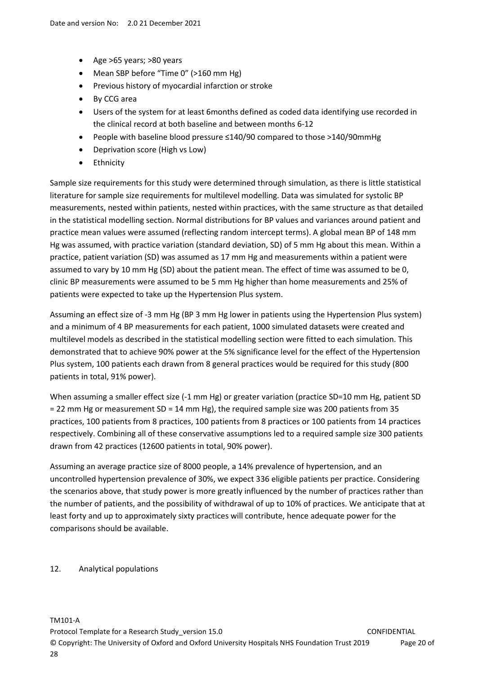- $\bullet$  Age >65 years; >80 years
- Mean SBP before "Time 0" (>160 mm Hg)
- Previous history of myocardial infarction or stroke
- By CCG area
- Users of the system for at least 6months defined as coded data identifying use recorded in the clinical record at both baseline and between months 6-12
- People with baseline blood pressure ≤140/90 compared to those >140/90mmHg
- Deprivation score (High vs Low)
- Ethnicity

Sample size requirements for this study were determined through simulation, as there is little statistical literature for sample size requirements for multilevel modelling. Data was simulated for systolic BP measurements, nested within patients, nested within practices, with the same structure as that detailed in the statistical modelling section. Normal distributions for BP values and variances around patient and practice mean values were assumed (reflecting random intercept terms). A global mean BP of 148 mm Hg was assumed, with practice variation (standard deviation, SD) of 5 mm Hg about this mean. Within a practice, patient variation (SD) was assumed as 17 mm Hg and measurements within a patient were assumed to vary by 10 mm Hg (SD) about the patient mean. The effect of time was assumed to be 0, clinic BP measurements were assumed to be 5 mm Hg higher than home measurements and 25% of patients were expected to take up the Hypertension Plus system.

Assuming an effect size of -3 mm Hg (BP 3 mm Hg lower in patients using the Hypertension Plus system) and a minimum of 4 BP measurements for each patient, 1000 simulated datasets were created and multilevel models as described in the statistical modelling section were fitted to each simulation. This demonstrated that to achieve 90% power at the 5% significance level for the effect of the Hypertension Plus system, 100 patients each drawn from 8 general practices would be required for this study (800 patients in total, 91% power).

When assuming a smaller effect size (-1 mm Hg) or greater variation (practice SD=10 mm Hg, patient SD = 22 mm Hg or measurement SD = 14 mm Hg), the required sample size was 200 patients from 35 practices, 100 patients from 8 practices, 100 patients from 8 practices or 100 patients from 14 practices respectively. Combining all of these conservative assumptions led to a required sample size 300 patients drawn from 42 practices (12600 patients in total, 90% power).

Assuming an average practice size of 8000 people, a 14% prevalence of hypertension, and an uncontrolled hypertension prevalence of 30%, we expect 336 eligible patients per practice. Considering the scenarios above, that study power is more greatly influenced by the number of practices rather than the number of patients, and the possibility of withdrawal of up to 10% of practices. We anticipate that at least forty and up to approximately sixty practices will contribute, hence adequate power for the comparisons should be available.

12. Analytical populations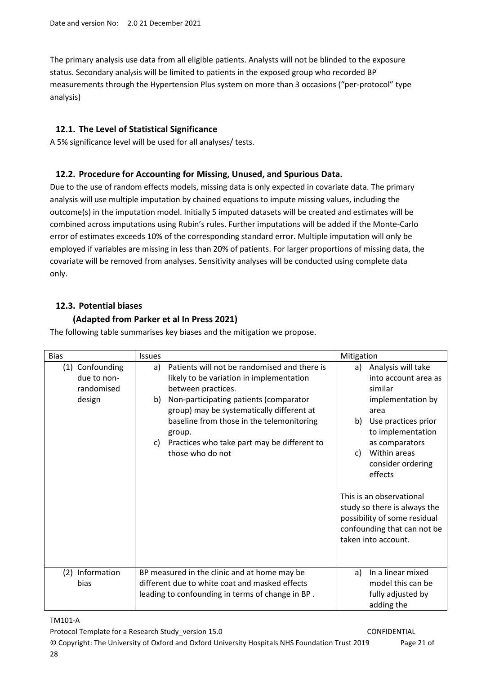The primary analysis use data from all eligible patients. Analysts will not be blinded to the exposure status. Secondary analysis will be limited to patients in the exposed group who recorded BP measurements through the Hypertension Plus system on more than 3 occasions ("per-protocol" type analysis)

# **12.1. The Level of Statistical Significance**

A 5% significance level will be used for all analyses/ tests.

# **12.2. Procedure for Accounting for Missing, Unused, and Spurious Data.**

Due to the use of random effects models, missing data is only expected in covariate data. The primary analysis will use multiple imputation by chained equations to impute missing values, including the outcome(s) in the imputation model. Initially 5 imputed datasets will be created and estimates will be combined across imputations using Rubin's rules. Further imputations will be added if the Monte-Carlo error of estimates exceeds 10% of the corresponding standard error. Multiple imputation will only be employed if variables are missing in less than 20% of patients. For larger proportions of missing data, the covariate will be removed from analyses. Sensitivity analyses will be conducted using complete data only.

# **12.3. Potential biases**

# **(Adapted from Parker et al In Press 2021)**

| <b>Bias</b>                                  | <b>Issues</b> |                                                                                                                                                                                                               | Mitigation |                                                                                                                                                |
|----------------------------------------------|---------------|---------------------------------------------------------------------------------------------------------------------------------------------------------------------------------------------------------------|------------|------------------------------------------------------------------------------------------------------------------------------------------------|
| (1) Confounding<br>due to non-<br>randomised | a)            | Patients will not be randomised and there is<br>likely to be variation in implementation<br>between practices.                                                                                                | a)         | Analysis will take<br>into account area as<br>similar                                                                                          |
| design                                       | b)<br>C)      | Non-participating patients (comparator<br>group) may be systematically different at<br>baseline from those in the telemonitoring<br>group.<br>Practices who take part may be different to<br>those who do not | b)<br>c)   | implementation by<br>area<br>Use practices prior<br>to implementation<br>as comparators<br>Within areas<br>consider ordering<br>effects        |
|                                              |               |                                                                                                                                                                                                               |            | This is an observational<br>study so there is always the<br>possibility of some residual<br>confounding that can not be<br>taken into account. |
| Information<br>(2)<br>bias                   |               | BP measured in the clinic and at home may be<br>different due to white coat and masked effects<br>leading to confounding in terms of change in BP.                                                            | a)         | In a linear mixed<br>model this can be<br>fully adjusted by<br>adding the                                                                      |

The following table summarises key biases and the mitigation we propose.

# TM101-A

Protocol Template for a Research Study version 15.0 CONFIDENTIAL

© Copyright: The University of Oxford and Oxford University Hospitals NHS Foundation Trust 2019 Page 21 of 28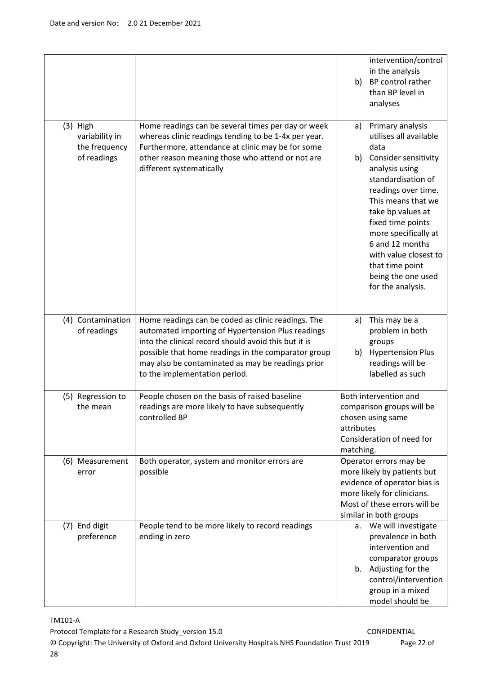|                                               |                                                                                                                                                                 | intervention/control<br>in the analysis<br>BP control rather<br>b)<br>than BP level in<br>analyses                                                                                                                                                                                          |
|-----------------------------------------------|-----------------------------------------------------------------------------------------------------------------------------------------------------------------|---------------------------------------------------------------------------------------------------------------------------------------------------------------------------------------------------------------------------------------------------------------------------------------------|
| $(3)$ High<br>variability in<br>the frequency | Home readings can be several times per day or week<br>whereas clinic readings tending to be 1-4x per year.<br>Furthermore, attendance at clinic may be for some | Primary analysis<br>a)<br>utilises all available<br>data                                                                                                                                                                                                                                    |
| of readings                                   | other reason meaning those who attend or not are<br>different systematically                                                                                    | Consider sensitivity<br>b)<br>analysis using<br>standardisation of<br>readings over time.<br>This means that we<br>take bp values at<br>fixed time points<br>more specifically at<br>6 and 12 months<br>with value closest to<br>that time point<br>being the one used<br>for the analysis. |
| (4) Contamination<br>of readings              | Home readings can be coded as clinic readings. The<br>automated importing of Hypertension Plus readings<br>into the clinical record should avoid this but it is | This may be a<br>a)<br>problem in both<br>groups                                                                                                                                                                                                                                            |
|                                               | possible that home readings in the comparator group<br>may also be contaminated as may be readings prior<br>to the implementation period.                       | <b>Hypertension Plus</b><br>b)<br>readings will be<br>labelled as such                                                                                                                                                                                                                      |
| (5) Regression to<br>the mean                 | People chosen on the basis of raised baseline<br>readings are more likely to have subsequently<br>controlled BP                                                 | Both intervention and<br>comparison groups will be<br>chosen using same<br>attributes<br>Consideration of need for<br>matching.                                                                                                                                                             |
| (6) Measurement<br>error                      | Both operator, system and monitor errors are<br>possible                                                                                                        | Operator errors may be<br>more likely by patients but<br>evidence of operator bias is<br>more likely for clinicians.<br>Most of these errors will be<br>similar in both groups                                                                                                              |
| (7) End digit<br>preference                   | People tend to be more likely to record readings<br>ending in zero                                                                                              | a. We will investigate<br>prevalence in both<br>intervention and<br>comparator groups                                                                                                                                                                                                       |
|                                               |                                                                                                                                                                 | Adjusting for the<br>b.<br>control/intervention<br>group in a mixed<br>model should be                                                                                                                                                                                                      |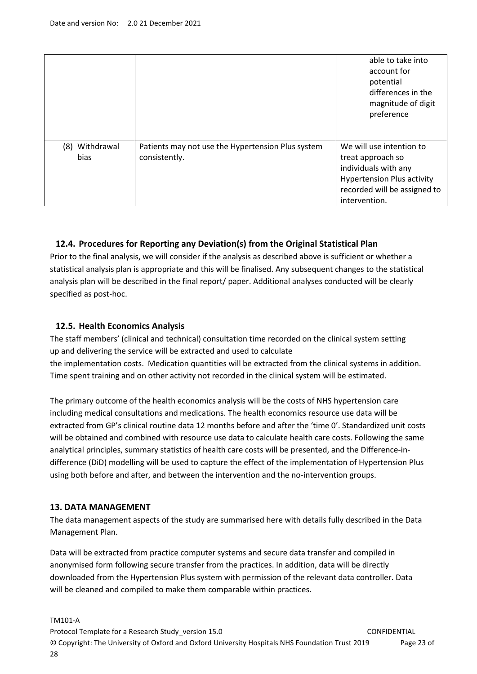|                        |                                                                    | able to take into<br>account for<br>potential<br>differences in the<br>magnitude of digit<br>preference                                                     |
|------------------------|--------------------------------------------------------------------|-------------------------------------------------------------------------------------------------------------------------------------------------------------|
| (8) Withdrawal<br>bias | Patients may not use the Hypertension Plus system<br>consistently. | We will use intention to<br>treat approach so<br>individuals with any<br><b>Hypertension Plus activity</b><br>recorded will be assigned to<br>intervention. |

# **12.4. Procedures for Reporting any Deviation(s) from the Original Statistical Plan**

Prior to the final analysis, we will consider if the analysis as described above is sufficient or whether a statistical analysis plan is appropriate and this will be finalised. Any subsequent changes to the statistical analysis plan will be described in the final report/ paper. Additional analyses conducted will be clearly specified as post-hoc.

## **12.5. Health Economics Analysis**

The staff members' (clinical and technical) consultation time recorded on the clinical system setting up and delivering the service will be extracted and used to calculate the implementation costs. Medication quantities will be extracted from the clinical systems in addition. Time spent training and on other activity not recorded in the clinical system will be estimated.

The primary outcome of the health economics analysis will be the costs of NHS hypertension care including medical consultations and medications. The health economics resource use data will be extracted from GP's clinical routine data 12 months before and after the 'time 0'. Standardized unit costs will be obtained and combined with resource use data to calculate health care costs. Following the same analytical principles, summary statistics of health care costs will be presented, and the Difference-indifference (DiD) modelling will be used to capture the effect of the implementation of Hypertension Plus using both before and after, and between the intervention and the no-intervention groups.

### **13. DATA MANAGEMENT**

The data management aspects of the study are summarised here with details fully described in the Data Management Plan.

Data will be extracted from practice computer systems and secure data transfer and compiled in anonymised form following secure transfer from the practices. In addition, data will be directly downloaded from the Hypertension Plus system with permission of the relevant data controller. Data will be cleaned and compiled to make them comparable within practices.

#### TM101-A

Protocol Template for a Research Study version 15.0 CONFIDENTIAL © Copyright: The University of Oxford and Oxford University Hospitals NHS Foundation Trust 2019 Page 23 of 28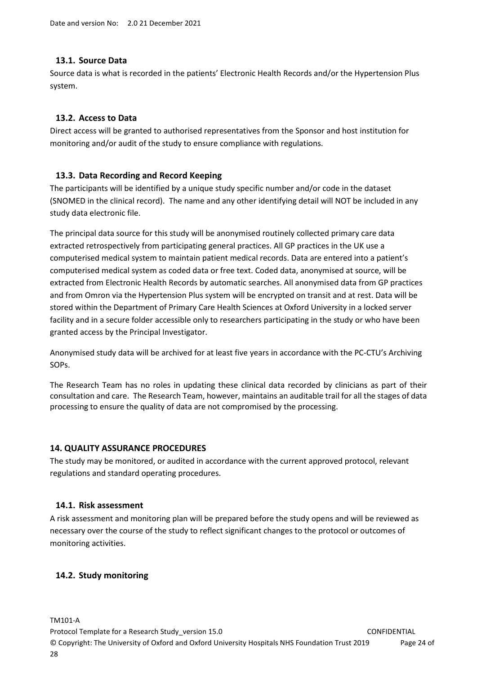### **13.1. Source Data**

Source data is what is recorded in the patients' Electronic Health Records and/or the Hypertension Plus system.

## **13.2. Access to Data**

Direct access will be granted to authorised representatives from the Sponsor and host institution for monitoring and/or audit of the study to ensure compliance with regulations.

## **13.3. Data Recording and Record Keeping**

The participants will be identified by a unique study specific number and/or code in the dataset (SNOMED in the clinical record). The name and any other identifying detail will NOT be included in any study data electronic file.

The principal data source for this study will be anonymised routinely collected primary care data extracted retrospectively from participating general practices. All GP practices in the UK use a computerised medical system to maintain patient medical records. Data are entered into a patient's computerised medical system as coded data or free text. Coded data, anonymised at source, will be extracted from Electronic Health Records by automatic searches. All anonymised data from GP practices and from Omron via the Hypertension Plus system will be encrypted on transit and at rest. Data will be stored within the Department of Primary Care Health Sciences at Oxford University in a locked server facility and in a secure folder accessible only to researchers participating in the study or who have been granted access by the Principal Investigator.

Anonymised study data will be archived for at least five years in accordance with the PC-CTU's Archiving SOPs.

The Research Team has no roles in updating these clinical data recorded by clinicians as part of their consultation and care. The Research Team, however, maintains an auditable trail for all the stages of data processing to ensure the quality of data are not compromised by the processing.

### **14. QUALITY ASSURANCE PROCEDURES**

The study may be monitored, or audited in accordance with the current approved protocol, relevant regulations and standard operating procedures.

### **14.1. Risk assessment**

A risk assessment and monitoring plan will be prepared before the study opens and will be reviewed as necessary over the course of the study to reflect significant changes to the protocol or outcomes of monitoring activities.

### **14.2. Study monitoring**

TM101-A

Protocol Template for a Research Study version 15.0 CONFIDENTIAL © Copyright: The University of Oxford and Oxford University Hospitals NHS Foundation Trust 2019 Page 24 of 28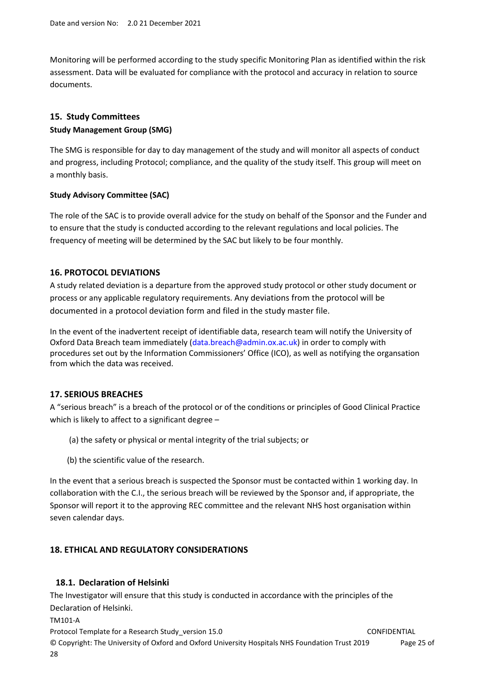Monitoring will be performed according to the study specific Monitoring Plan as identified within the risk assessment. Data will be evaluated for compliance with the protocol and accuracy in relation to source documents.

# **15. Study Committees Study Management Group (SMG)**

The SMG is responsible for day to day management of the study and will monitor all aspects of conduct and progress, including Protocol; compliance, and the quality of the study itself. This group will meet on a monthly basis.

## **Study Advisory Committee (SAC)**

The role of the SAC is to provide overall advice for the study on behalf of the Sponsor and the Funder and to ensure that the study is conducted according to the relevant regulations and local policies. The frequency of meeting will be determined by the SAC but likely to be four monthly.

# **16. PROTOCOL DEVIATIONS**

A study related deviation is a departure from the approved study protocol or other study document or process or any applicable regulatory requirements. Any deviations from the protocol will be documented in a protocol deviation form and filed in the study master file.

In the event of the inadvertent receipt of identifiable data, research team will notify the University of Oxford Data Breach team immediately (data.breach@admin.ox.ac.uk) in order to comply with procedures set out by the Information Commissioners' Office (ICO), as well as notifying the organsation from which the data was received.

# **17. SERIOUS BREACHES**

A "serious breach" is a breach of the protocol or of the conditions or principles of Good Clinical Practice which is likely to affect to a significant degree -

- (a) the safety or physical or mental integrity of the trial subjects; or
- (b) the scientific value of the research.

In the event that a serious breach is suspected the Sponsor must be contacted within 1 working day. In collaboration with the C.I., the serious breach will be reviewed by the Sponsor and, if appropriate, the Sponsor will report it to the approving REC committee and the relevant NHS host organisation within seven calendar days.

# **18. ETHICAL AND REGULATORY CONSIDERATIONS**

# **18.1. Declaration of Helsinki**

The Investigator will ensure that this study is conducted in accordance with the principles of the Declaration of Helsinki.

TM101-A

Protocol Template for a Research Study version 15.0 CONFIDENTIAL © Copyright: The University of Oxford and Oxford University Hospitals NHS Foundation Trust 2019 Page 25 of 28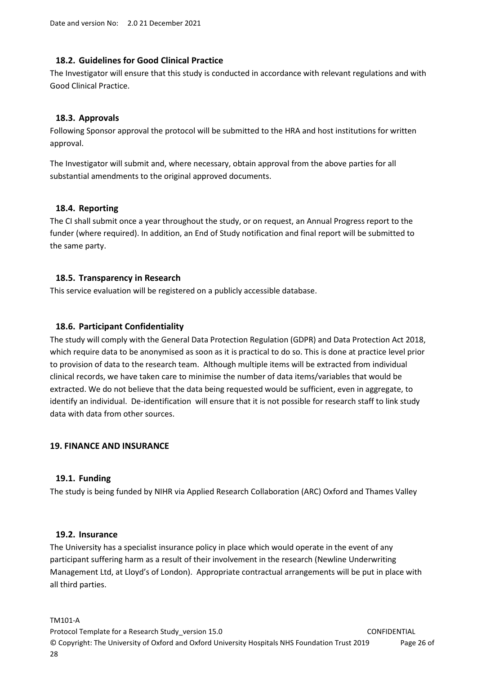## **18.2. Guidelines for Good Clinical Practice**

The Investigator will ensure that this study is conducted in accordance with relevant regulations and with Good Clinical Practice.

## **18.3. Approvals**

Following Sponsor approval the protocol will be submitted to the HRA and host institutions for written approval.

The Investigator will submit and, where necessary, obtain approval from the above parties for all substantial amendments to the original approved documents.

### **18.4. Reporting**

The CI shall submit once a year throughout the study, or on request, an Annual Progress report to the funder (where required). In addition, an End of Study notification and final report will be submitted to the same party.

## **18.5. Transparency in Research**

This service evaluation will be registered on a publicly accessible database.

## **18.6. Participant Confidentiality**

The study will comply with the General Data Protection Regulation (GDPR) and Data Protection Act 2018, which require data to be anonymised as soon as it is practical to do so. This is done at practice level prior to provision of data to the research team. Although multiple items will be extracted from individual clinical records, we have taken care to minimise the number of data items/variables that would be extracted. We do not believe that the data being requested would be sufficient, even in aggregate, to identify an individual. De-identification will ensure that it is not possible for research staff to link study data with data from other sources.

### **19. FINANCE AND INSURANCE**

### **19.1. Funding**

The study is being funded by NIHR via Applied Research Collaboration (ARC) Oxford and Thames Valley

### **19.2. Insurance**

The University has a specialist insurance policy in place which would operate in the event of any participant suffering harm as a result of their involvement in the research (Newline Underwriting Management Ltd, at Lloyd's of London). Appropriate contractual arrangements will be put in place with all third parties.

#### TM101-A

Protocol Template for a Research Study version 15.0 CONFIDENTIAL © Copyright: The University of Oxford and Oxford University Hospitals NHS Foundation Trust 2019 Page 26 of 28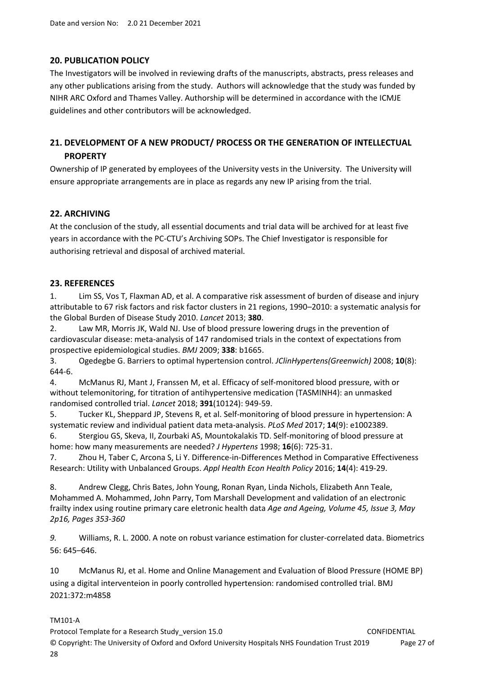## **20. PUBLICATION POLICY**

The Investigators will be involved in reviewing drafts of the manuscripts, abstracts, press releases and any other publications arising from the study. Authors will acknowledge that the study was funded by NIHR ARC Oxford and Thames Valley. Authorship will be determined in accordance with the ICMJE guidelines and other contributors will be acknowledged.

# **21. DEVELOPMENT OF A NEW PRODUCT/ PROCESS OR THE GENERATION OF INTELLECTUAL PROPERTY**

Ownership of IP generated by employees of the University vests in the University. The University will ensure appropriate arrangements are in place as regards any new IP arising from the trial.

## **22. ARCHIVING**

At the conclusion of the study, all essential documents and trial data will be archived for at least five years in accordance with the PC-CTU's Archiving SOPs. The Chief Investigator is responsible for authorising retrieval and disposal of archived material.

### **23. REFERENCES**

1. Lim SS, Vos T, Flaxman AD, et al. A comparative risk assessment of burden of disease and injury attributable to 67 risk factors and risk factor clusters in 21 regions, 1990–2010: a systematic analysis for the Global Burden of Disease Study 2010. *Lancet* 2013; **380**.

2. Law MR, Morris JK, Wald NJ. Use of blood pressure lowering drugs in the prevention of cardiovascular disease: meta-analysis of 147 randomised trials in the context of expectations from prospective epidemiological studies. *BMJ* 2009; **338**: b1665.

3. Ogedegbe G. Barriers to optimal hypertension control. *JClinHypertens(Greenwich)* 2008; **10**(8): 644-6.

4. McManus RJ, Mant J, Franssen M, et al. Efficacy of self-monitored blood pressure, with or without telemonitoring, for titration of antihypertensive medication (TASMINH4): an unmasked randomised controlled trial. *Lancet* 2018; **391**(10124): 949-59.

5. Tucker KL, Sheppard JP, Stevens R, et al. Self-monitoring of blood pressure in hypertension: A systematic review and individual patient data meta-analysis. *PLoS Med* 2017; **14**(9): e1002389.

6. Stergiou GS, Skeva, II, Zourbaki AS, Mountokalakis TD. Self-monitoring of blood pressure at home: how many measurements are needed? *J Hypertens* 1998; **16**(6): 725-31.

7. Zhou H, Taber C, Arcona S, Li Y. Difference-in-Differences Method in Comparative Effectiveness Research: Utility with Unbalanced Groups. *Appl Health Econ Health Policy* 2016; **14**(4): 419-29.

8. Andrew Clegg, Chris Bates, John Young, Ronan Ryan, Linda Nichols, Elizabeth Ann Teale, Mohammed A. Mohammed, John Parry, Tom Marshall Development and validation of an electronic frailty index using routine primary care eletronic health data *Age and Ageing, Volume 45, Issue 3, May 2p16, Pages 353-360* 

*9.* Williams, R. L. 2000. A note on robust variance estimation for cluster-correlated data. Biometrics 56: 645–646.

10 McManus RJ, et al. Home and Online Management and Evaluation of Blood Pressure (HOME BP) using a digital interventeion in poorly controlled hypertension: randomised controlled trial. BMJ 2021:372:m4858

TM101-A

Protocol Template for a Research Study version 15.0 CONFIDENTIAL © Copyright: The University of Oxford and Oxford University Hospitals NHS Foundation Trust 2019 Page 27 of 28